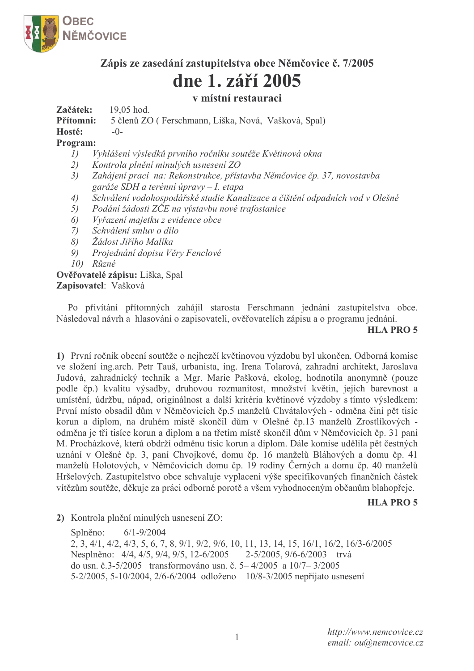

# Zápis ze zasedání zastupitelstva obce Němčovice č. 7/2005

# dne 1. září 2005

## v místní restauraci

Začátek: 19.05 hod.

Přítomni: 5 členů ZO (Ferschmann, Liška, Nová, Vašková, Spal)

Hosté:  $-()$ 

### Program:

- Vyhlášení výsledků prvního ročníku soutěže Květinová okna  $I)$
- 2) Kontrola plnění minulých usnesení ZO
- $3)$ Zahájení prací na: Rekonstrukce, přístavba Němčovice čp. 37, novostavba garáže SDH a terénní úpravy – I. etapa
- $4)$ Schválení vodohospodářské studie Kanalizace a čištění odpadních vod v Olešné
- Podání žádosti ZČE na výstavbu nové trafostanice 5)
- 6) Vyřazení majetku z evidence obce
- $(7)$ Schválení smluv o dílo
- $\delta$ ) Žádost Jiřího Malíka
- 9) Projednání dopisu Věry Fenclové
- 10) Různé

# Ověřovatelé zápisu: Liška, Spal

Zapisovatel: Vašková

Po přivítání přítomných zahájil starosta Ferschmann jednání zastupitelstva obce. Následoval návrh a hlasování o zapisovateli, ověřovatelích zápisu a o programu jednání.

#### **HLA PRO 5**

1) První ročník obecní soutěže o nejhezčí květinovou výzdobu byl ukončen. Odborná komise ve složení ing.arch. Petr Tauš, urbanista, ing. Irena Tolarová, zahradní architekt, Jaroslava Judová, zahradnický technik a Mgr. Marie Pašková, ekolog, hodnotila anonymně (pouze podle čp.) kvalitu výsadby, druhovou rozmanitost, množství květin, jejich barevnost a umístění, údržbu, nápad, originálnost a další kritéria květinové výzdoby s tímto výsledkem: První místo obsadil dům v Němčovicích čp.5 manželů Chvátalových - odměna činí pět tisíc korun a diplom, na druhém místě skončil dům v Olešné čp.13 manželů Zrostlíkových odměna je tři tisíce korun a diplom a na třetím místě skončil dům v Němčovicích čp. 31 paní M. Procházkové, která obdrží odměnu tisíc korun a diplom. Dále komise udělila pět čestných uznání v Olešné čp. 3, paní Chvojkové, domu čp. 16 manželů Bláhových a domu čp. 41 manželů Holotových, v Němčovicích domu čp. 19 rodiny Černých a domu čp. 40 manželů Hršelových. Zastupitelstvo obce schvaluje vyplacení výše specifikovaných finančních částek vítězům soutěže, děkuje za práci odborné porotě a všem vyhodnoceným občanům blahopřeje.

## **HLA PRO 5**

2) Kontrola plnění minulých usnesení ZO:

Splněno:  $6/1 - 9/2004$ 2, 3, 4/1, 4/2, 4/3, 5, 6, 7, 8, 9/1, 9/2, 9/6, 10, 11, 13, 14, 15, 16/1, 16/2, 16/3-6/2005 Nesplněno: 4/4, 4/5, 9/4, 9/5, 12-6/2005 2-5/2005, 9/6-6/2003 trvá do usn. č.3-5/2005 transformováno usn. č. 5–4/2005 a 10/7–3/2005 5-2/2005, 5-10/2004, 2/6-6/2004 odloženo 10/8-3/2005 nepřijato usnesení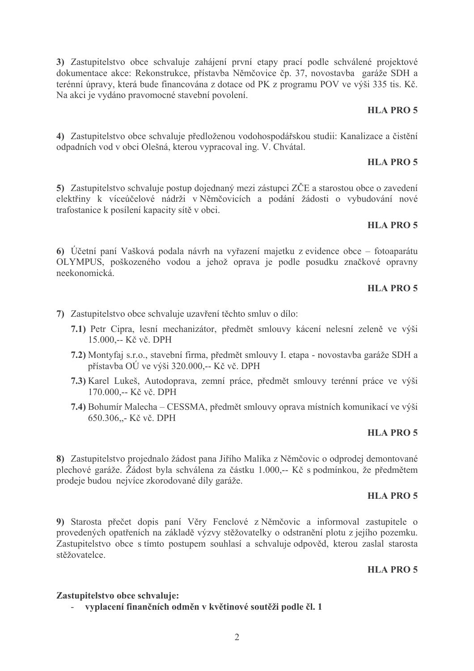3) Zastupitelstvo obce schvaluje zahájení první etapy prací podle schválené projektové dokumentace akce: Rekonstrukce, přístavba Němčovice čp. 37, novostavba garáže SDH a terénní úpravy, která bude financována z dotace od PK z programu POV ve výši 335 tis. Kč. Na akci je vydáno pravomocné stavební povolení.

#### **HLA PRO 5**

4) Zastupitelstvo obce schvaluje předloženou vodohospodářskou studii: Kanalizace a čistění odpadních vod v obci Olešná, kterou vypracoval ing. V. Chvátal.

#### **HLA PRO 5**

5) Zastupitelstvo schvaluje postup dojednaný mezi zástupci ZČE a starostou obce o zavedení elektřiny k víceúčelové nádrži v Němčovicích a podání žádosti o vybudování nové trafostanice k posílení kapacity sítě v obci.

#### **HLA PRO 5**

6) Účetní paní Vašková podala návrh na vyřazení majetku z evidence obce – fotoaparátu OLYMPUS, poškozeného vodou a jehož oprava je podle posudku značkové opravny neekonomická.

#### **HLA PRO 5**

- 7) Zastupitelstvo obce schvaluje uzavření těchto smluv o dílo:
	- 7.1) Petr Cipra, lesní mechanizátor, předmět smlouvy kácení nelesní zeleně ve výši 15.000,-- Kč vč. DPH
	- 7.2) Montyfaj s.r.o., stavební firma, předmět smlouvy I. etapa novostavba garáže SDH a přístavba OÚ ve výši 320.000,-- Kč vč. DPH
	- 7.3) Karel Lukeš, Autodoprava, zemní práce, předmět smlouvy terénní práce ve výši 170.000,-- Kč vč. DPH
	- 7.4) Bohumír Malecha CESSMA, předmět smlouvy oprava místních komunikací ve výši 650.306,,- Kč vč. DPH

#### **HLA PRO 5**

8) Zastupitelstvo projednalo žádost pana Jiřího Malíka z Němčovic o odprodej demontované plechové garáže. Žádost byla schválena za částku 1.000,-- Kč s podmínkou, že předmětem prodeje budou nejvíce zkorodované díly garáže.

#### **HLA PRO 5**

9) Starosta přečet dopis paní Věry Fenclové z Němčovic a informoval zastupitele o provedených opatřeních na základě výzvy stěžovatelky o odstranění plotu z jejího pozemku. Zastupitelstvo obce s tímto postupem souhlasí a schvaluje odpověd, kterou zaslal starosta stěžovatelce

#### **HLA PRO 5**

#### Zastupitelstvo obce schvaluje:

- vyplacení finančních odměn v květinové soutěži podle čl. 1